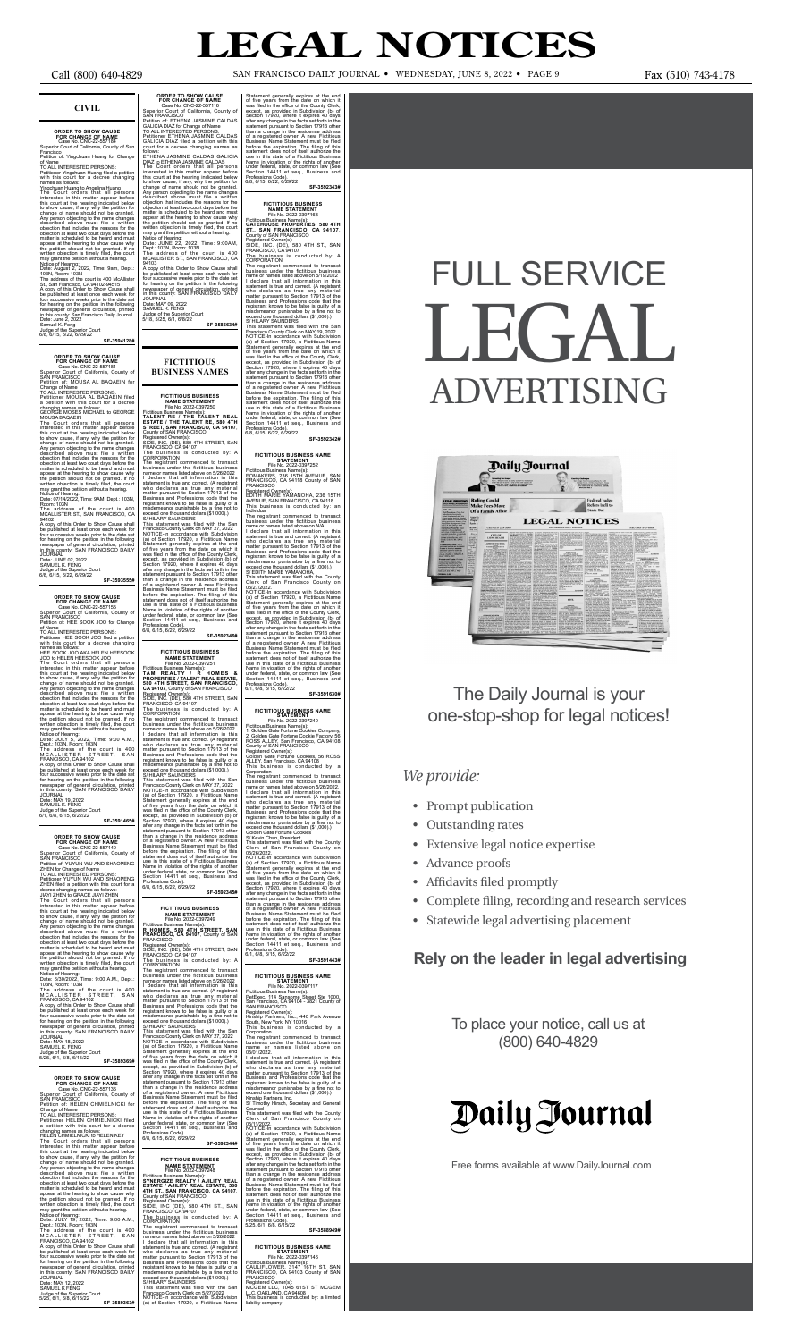### **CIVIL**

**ORDER TO SHOW CAUSE<br>FOR CHANGE OF NAME<br>Case No. CNC-22-557184<br>Superior Court of California, County of San** Francisco Petition of: Yingchuan Huang for Change

of Name<br>To ALL INTERESTED PERSONS:<br>TO ALL INTERESTED PERSONS:<br>Petitioner Yingchuan Huang field a pertition<br>vith this court or a decree changing<br>Yingchuan Huang to Angelina Huang<br>The Court orders that all persons<br>thresesed

## **ORDER TO SHOW CAUSE<br>
FOR CHANGE OF NAME**<br>
Case No. CNC-22-557181<br>
Superior Court of California, County of<br>
SAN FRANCISCO

Petition of: MOUSA AL BAQAEIN for Change of Name TO ALL INTERESTED PERSONS:

Petitioner MOUSA AL BAQAEIN filed a petition with this court for a decree changing names as follows: GEORGE MOSES MICHAEL to GEORGE

MOUSA BAQAEIN<br>The Court orders that all persons<br>interested in this matter appear before<br>this court at the hearing indicated below<br>to show cause, if any, why the petition for<br>change of name should not be granted.<br>Any person objection at least two court days before the matter is scheduled to be heard and must<br>appear at the hearing to show cause why<br>appear at the hearing to show cause why<br>the petition should not be granted. If no<br>written object

Room: 103N

The address of the court is 400 MCALLISTER ST., SAN FRANCISCO, CA

94102<br>A copy of this Order to Show Cause shall<br>be published at least once each week for<br>four successive weeks prior to the date set<br>for hearing on the petition in the following<br>newspaper of general circulation, printed<br>in

JOURNAL Date: JUNE 02, 2022 SAMUEL K. FENG

Judge of the Superior Court 6/8, 6/15, 6/22, 6/29/22

103N, Room: 103N<br>The address of the court is 400<br>MCALLISTER STREET, SAN<br>FRANCISCO, CA 94102<br>A copy of this Order to Show Cause shall<br>be published at least once each week for<br>for successive weeks prior to the date set<br>for h newspaper of general circulation, printed in this county: SAN FRANCISCO DAILY JOURNAL Date: MAY 18, 2022

### **SF-3593555#**

**ORDER TO SHOW CAUSE**<br>
FOR CHANGE OF NAME<br>
Case No. CNC-22-557155<br>
Superior Court of California, County of<br>
SAN FRANCISCO<br>
Petition of: HEE SOOK JOO for Change

**ORDER TO SHOW CAUSE<br>
FOR CHANGE OF NAME**<br>
Case No. CNC-22-557136<br>
Superior Court of California, County of<br>
SAN FRANCSICO Petition of: HELEN CHMIELNICKI for Change of Name TO ALL INTERESTED PERSONS: Petitioner HELEN CHMIELNICKI filed

a petition with this court for a decree changing names as follows: HELEN CHMIELNICKI to HELEN KEY The Court orders that all persons interested in this matter appear before this court at the hearing indicated below to show cause, if any, why the petition for change of name should not be granted.<br>Any person objecting to the name changes<br>described above must file a written<br>objection that includes the reasons for the<br>objection at least two court days before the<br>matter is schedule the petition should not be granted. If no<br>written objection is timely filed, the court<br>may grant the petition without a hearing.<br>Notice of Hearing:<br>Date: JULY 19, 2022, Time: 9:00 A.M.,<br>Dept.: 103N, Room: 103N<br>The address

FRANCISCO, CA 94102<br>A copy of this Order to Show Cause shall<br>be published at least once each week for<br>four successive weeks prior to the date set<br>for hearing on the petition in the following<br>newspaper of general circulatio

of Name TO ALL INTERESTED PERSONS: Petitioner HEE SOOK JOO filed a petition with this court for a decree changing

names as follows:<br>HEE SOOK JOO AKA HELEN HEESOOK<br>JOO to HELEN HEESOOK JOO to HELEN HEESOOK JOO to HELEN HEESOOK JOO<br>The Court orders that all persons<br>interested in this matter appear before<br>this court at the hearing indica

**CROER TO SHOW CAUSE<br>
CROEP OF NAME**<br>
Case No. CNC-22-557116<br>
Superior Count of California, County of<br>
SAN FRANCISCO<br>
Petition of: ETHENA JASMINE CALDAS<br>
Petition of: ETHENA JASMINE CALDAS<br>
TO ALL INTERESTED PERSONS:<br>
Peti

ETHENA JASMINE CALDAS GALICIA<br>DIAZ to ETHENA JASMINE CALDAS GALICIA<br>The Court orders that all persons<br>interested in this matter appear before this court at the hearing indicated below<br>this court at the hearing indicated be

A copy of this Order to Show Cause shall<br>be published at least once each week for<br>four successive weeks prior to the date set<br>for hearing on the petition in the following<br>newspaper of general circulation, printed<br>in this c

Date: MAY 12, 2022 SAMUEL K FENG Judge of the Superior Court<br>5/25, 6/1, 6/8, 6/15/22

**SF-3591465#**

**ORDER TO SHOW CAUSE**<br>
FOR CHANGE OF NAME<br>
Case No. CNC-22-557140<br>
Superior Court of California, County of<br>
SAN FRANCISCO<br>
Petition of: YUYUN WU AND SHAOPENG ZHEN for Change of Name TO ALL INTERESTED PERSONS: Petitioner YUYUN WU AND SHAOPENG ZHEN filed a petition with this court for a decree changing names as follows:<br>JIAYI ZHEN to GRACE JIAYI ZHEN JIAN'I ZHEN to GRACE JIAN'I ZHEN<br>The Court orders that all persons<br>interested in this matter appear before<br>this court at the hearing indicated below<br>to show cause, if any, why the petition for<br>change of name should not be matter is scheduled to be heard and must appear at the hearing to show cause why the petition should not be granted. If no written objection is timely filed, the court may grant the petition without a hearing.<br>Notice of Hearing:

Notice of Hearing: Date: 6/30/2022, Time: 9:00 A.M., Dept.:

SAMUEL K. FENG Judge of the Superior Court 5/25, 6/1, 6/8, 6/15/22 **SF-3589369#**

This statement was filed with the San<br>Francisco County Clerk on MAY 27, 2022<br>NOTICE-In accordance with Subdivision<br>(a) of Section 17920, a Ficitious Name<br>Statement generally expires at the end<br>of five years from the date o except, as provided in Subdivision (b) of Section 17920, where it expires 40 days after any change in the facts set forth in the statement pursuant to Section 17913 other than a change in the residence address of a registered owner. A new Fictitious<br>Business Name Statement must be filed<br>before the expiration. The filing of this<br>statement does not of itself authorize the<br>use in this state of a Fictitious Business Name in violation of the rights of another under federal, state, or common law (See Section 14411 et seq., Business and Professions Code). 6/8, 6/15, 6/22, 6/29/22

### **FICTITIOUS BUSINESS NAME STATEMENT**<br>File No. 2022-0397249

## File No. 2022-0397249<br>Fictitious Business Name(s):<br>**R HOMES, 580 4TH STREET, SAN<br><b>FRANCISCO, CA 94107**, County of SAN<br>FRANCISCO

Registered Owner(s):<br>
Registered Owner(s):<br>
SIDE, INC. (DE), 580 4TH STREET, SAN<br>
FRANCISCO, CA 94107<br>
The business is conducted by: A<br>
CORPORATION<br>
CORPORATION<br>
corporations is conducted to transact<br>
business under the fi

of five years from the date on which it was filed in the office of the County Clerk, except, as provided in Subdivision (b) of Section 17920, where it expires 40 days after any change in the faction 17913 other statement p

Professions Code).<br>6/8, 6/15, 6/22, 6/29/22 **SF-3592344#**

**FICTITIOUS BUSINESS NAME STATEMENT** File No. 2022-0397248 Fictitious Business Name(s):<br>**SYNERGIZE REALTY / AJILITY REAL<br><b>ESTATE / AJILITY REAL ESTATE, 580**<br>**4TH ST., SAN FRANCISCO, CA 94107,**<br>County of SAN FRANCISCO

Registered Owner(s):<br>
Registered Owner(s):<br>
SIDE, INC (DE), 580 4TH ST., SAN<br>
FRANCISCO, CA 94107<br>
CORPORATION<br>
CORPORATION<br>
CORPORATION<br>
CORPORATION<br>
CORPORATION<br>
corporation contensities to the system of the system of ra

This business is conducted by: a<br>Corporation<br>Corporation<br>The registrant commenced to transact<br>business under the fictitious business<br>name or names listed above on 5/26/2022.<br>I declare that all information in this<br>statement

Statement generally expires at the end<br>of five years from the date on which it<br>of five years from the date on which it<br>except, as provided in Subdivision (b) of<br>Section 17920, where it expires 40 days<br>statement protange in Professions Code).<br>6/1, 6/8, 6/15, 6/22/22

5/25, 6/1, 6/8, 6/15/22 **SF-3589363#**

JOURNAL Date: MAY 09, 2022 SAMUEL K. FENG Judge of the Superior Court 5/18, 5/25, 6/1, 6/8/22

**SF-3586634#**

**FICTITIOUS BUSINESS NAMES**

> **FICTITIOUS BUSINESS NAME STATEMENT** File No. 2022-0397250

Fictitious Business Name(s):<br>**TALENT RE / THE TALENT REAL<br><b>ESTATE / THE TALENT RE, 580 4TH<br><b>STREET, SAN FRANCISCO, CA 94107**,<br>County of SAN FRANCISCO

Registered Owner(s): SIDE, INC. (DE), 580 4TH STREET, SAN FRANCISCO, CA 94107

The business is conducted by: A CORPORATION The registrant commenced to transact

business under the fictitious business name or names listed above on 5/26/2022

I declare that all information in this statement is true and correct. (A registrant who declares as true any material matter pursuant to Section 17913 of the misdemeanor purishable by a fine not to misdemeanor punishable b

**FICTITIOUS BUSINESS NAME**<br>
File No. 2022-0397117<br>
Fictitious Business Name(s):<br>
PetExec, 114 Sansome Street Ste 1000,<br>
SAN FRANCISCO<br>
SAN FRANCISCO<br>
SAN FRANCISCO Registered Owner(s): Kinship Partners, Inc., 440 Park Avenue South, New York, NY 10016 This business is conducted by: a

Section 14411 et seq., Business and Professions Code). Professions Code).<br>6/8, 6/15, 6/22, 6/29/22 **SF-3592346#**

### **FICTITIOUS BUSINESS NAME STATEMENT** File No. 2022-0397251

Ficitious Business Name(s):<br>TAM REALTY / R HOMES &<br>PROPERTIES / TALENT REAL ESTATE,<br>580 4TH STREET, SAN FRANCISCO,<br>CA 94107, County of SAN FRANCISCO<br>Registered Owner(s):<br>SIDE, INC. (DE), 580 4TH STREET, SAN<br>FRANCISCO, CA 9

NOTICE-In accordance with Subdivision (a) of Section 17920, a Fictitious Name Statement generally expires at the end<br>of five years from the date on which it<br>was filed in the office of the County Clerk,<br>except, as provided in Subdivision (b) of<br>Section 17920, where it expires 40 days<br>after any change than a change in the residence address<br>of a registered owner. A new Fictitious<br>Business Name Statement must be filed<br>before the expiration. The filing of this<br>statement does not of itself authorize the<br>suse in this state o Professions Code).<br>5/25, 6/1, 6/8, 6/15/22

The business is conducted by: A CORPORATION

The registrant commenced to transact business under the fictitious business name or names listed above on 5/26/2022 I declare that all information in this statement is true and correct. (A registrant who declares as true any material matter pursuant to Section 17913 of the Business and Professions code that the registrant knows to be false is guilty of a

Statement generally expires at the end<br>of five years from the date on which it<br>was filed in the office of the County Clerk,<br>except, as provided in Subdivision (b) of<br>Section 17920, where it expires 40 days<br>after any change

misdemeanor punishable by a fine not to exceed one thousand dollars (\$1,000).) S/ HILARY SAUNDERS

- Prompt publication
- Outstanding rates
- Extensive legal notice expertise
- Advance proofs
- Affidavits filed promptly
- Complete filing, recording and research services
- Statewide legal advertising placement

**SF-3592345#**

**SF-3592343#**

FICTITIOUS BUSINESS<br>
MAME STATEMENT<br>
File No. 2022-0397168<br>Fictitious Business Name(s):<br>
GATEHOUSE PROPERTIES, 580 4TH<br>
ST., SAN FRANCISCO, CA 94107,<br>
County of SAN FRANCISCO<br>
County of SAN FRANCISCO<br>
Registered Owner(s):

SIDE, INC. (DE), 580 4TH ST., SAN FRANCISCO, CA 94107 The business is conducted by: A

CORPORATION

The registrant commenced to transact<br>business under the fictitious business<br>has here the station to the measure of and information in this<br>degree that all information in this way we are a measured at the Business and Prof

**FICTITIOUS BUSINESS NAME<br>
File No. 2022-0397252<br>
Fictitious Business Name(s):<br>
Fictitious Business Name(s):<br>
EOMAKERS, 236 15TH AVENUE, SAN<br>
FRANCISCO, CA 94118 County of SAN<br>
FRANCISCO** 

Registered Owner(s): EDITH MARIE YAMANOHA, 236 15TH AVENUE, SAN FRANCISCO, CA 94118 This business is conducted by: an

Individual<br>The registrant commenced to transact<br>The registrant commenced to transact<br>Disciples and a discussion NA.<br>I declare that all information in this<br>statement is true and correct. (A registrant<br>who declares as true a

This statement was filed with the County<br>Clerk of San Francisco County on

05/27/2022. NOTICE-In accordance with Subdivision (a) of Section 17920, a Fictitious Name Statement generally expires at the end<br>of five years from the date on which it<br>was filed in the office of the County Clerk,<br>except, as provided in Subdivision (b) of<br>Section 17920, where it expires 40 days<br>after any change than a change in the residence address<br>of a registered owner. A new Fictitious<br>Business Name Statement must be filed<br>before the expiration. The filing of this<br>statement does not of itself authorize the use in this state of a Fictitious Business Name in violation of the rights of another under federal, state, or common law (See Section 14411 et seq., Business and

Professions Code). 6/1, 6/8, 6/15, 6/22/22 **SF-3591630#**

FICTITIOUS BUSINESS NAME<br>
File No. 2022-0397240<br>
Fictitious Business Name(s):<br>
Fictitious Business Name(s):<br>
1. Golden Gate Fortune Cookies Company,<br>
2. Golden Gate Fortune Cookies Company,<br>
2. Golden Gate Fortune Cookies,

**SF-3591443#**

Corporation The registrant commenced to transact business under the fictitious business name or names listed above on 05/01/2022.

I declare that all information in this<br>statement is true and correct. (A registrant about who declares as true any material<br>matter pursuant to Section 17913 of the<br>Business and Professions code that the<br>registrant knows t

Kinship Partners, Inc. S/ Timothy Hirsch, Secretary and General

Counsel This statement was filed with the County Clerk of San Francisco County on 05/11/2022.

**SF-3588949#**

FICTITIOUS BUSINESS NAME<br>
File No. 2022-0397146<br>
Fictitious Business Name(s):<br>
Frictitious Business Name(s):<br>
CAULIFLOWER, 3147 16TH ST, SAN<br>
FRANCISCO, CA 94103 County of SAN<br>
FRANCISCO, CA 94103 County of SAN<br>
MCGEM LLC,

## **LEGAL NOTICES**

Call (800) 640-4829 san francisco Daily Journal •WEDNESDAY, JUNE 8, 2022 •Page 9 Fax (510) 743-4178

# FULL SERVICE  $L.H.$ ADVERTISING



## *We provide:*

## **Rely on the leader in legal advertising**

The Daily Journal is your one-stop-shop for legal notices!

Free forms available at www.DailyJournal.com

To place your notice, call us at (800) 640-4829

## Daily Journal